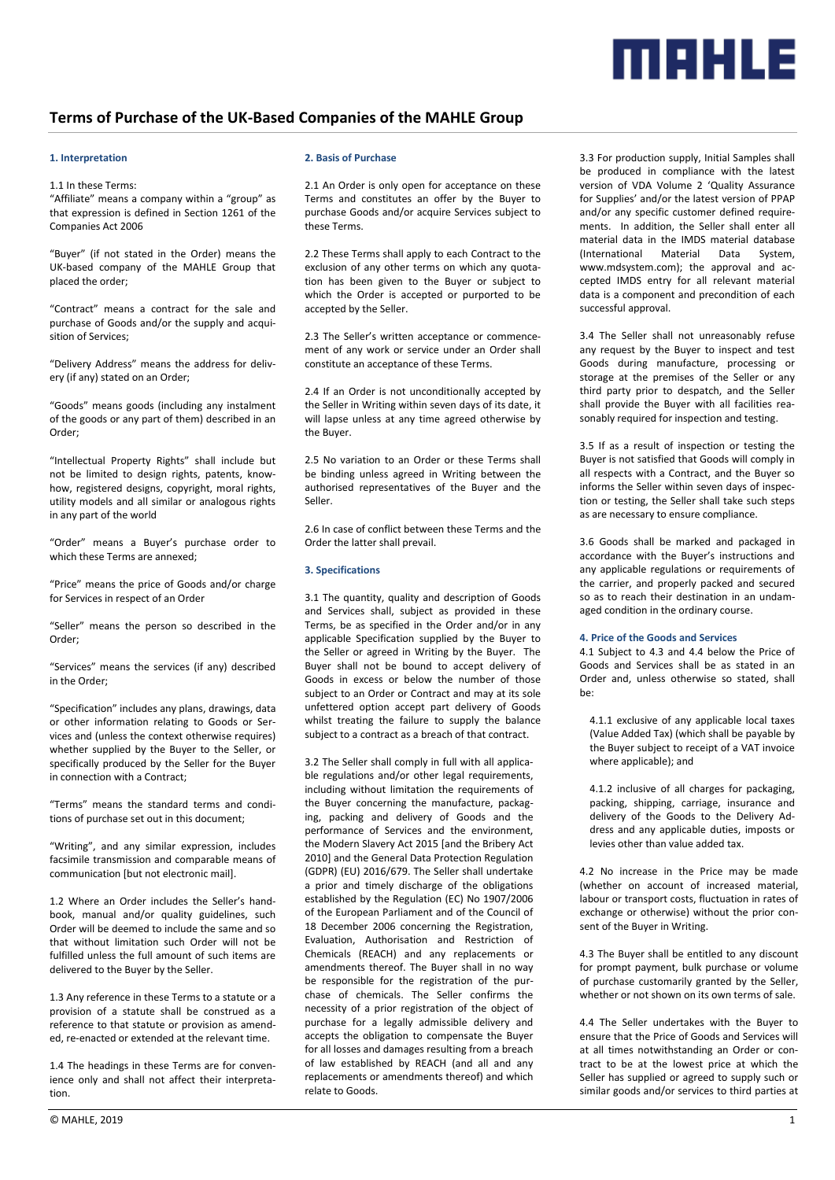

# **Terms of Purchase of the UK-Based Companies of the MAHLE Group**

# **1. Interpretation**

# 1.1 In these Terms:

"Affiliate" means a company within a "group" as that expression is defined in Section 1261 of the Companies Act 2006

"Buyer" (if not stated in the Order) means the UK-based company of the MAHLE Group that placed the order;

"Contract" means a contract for the sale and purchase of Goods and/or the supply and acquisition of Services;

"Delivery Address" means the address for delivery (if any) stated on an Order;

"Goods" means goods (including any instalment of the goods or any part of them) described in an Order;

"Intellectual Property Rights" shall include but not be limited to design rights, patents, knowhow, registered designs, copyright, moral rights, utility models and all similar or analogous rights in any part of the world

"Order" means a Buyer's purchase order to which these Terms are annexed;

"Price" means the price of Goods and/or charge for Services in respect of an Order

"Seller" means the person so described in the Order;

"Services" means the services (if any) described in the Order;

"Specification" includes any plans, drawings, data or other information relating to Goods or Services and (unless the context otherwise requires) whether supplied by the Buyer to the Seller, or specifically produced by the Seller for the Buyer in connection with a Contract;

"Terms" means the standard terms and conditions of purchase set out in this document;

"Writing", and any similar expression, includes facsimile transmission and comparable means of communication [but not electronic mail].

1.2 Where an Order includes the Seller's handbook, manual and/or quality guidelines, such Order will be deemed to include the same and so that without limitation such Order will not be fulfilled unless the full amount of such items are delivered to the Buyer by the Seller.

1.3 Any reference in these Terms to a statute or a provision of a statute shall be construed as a reference to that statute or provision as amended, re-enacted or extended at the relevant time.

1.4 The headings in these Terms are for convenience only and shall not affect their interpretation.

## **2. Basis of Purchase**

2.1 An Order is only open for acceptance on these Terms and constitutes an offer by the Buyer to purchase Goods and/or acquire Services subject to these Terms.

2.2 These Terms shall apply to each Contract to the exclusion of any other terms on which any quotation has been given to the Buyer or subject to which the Order is accepted or purported to be accepted by the Seller.

2.3 The Seller's written acceptance or commencement of any work or service under an Order shall constitute an acceptance of these Terms.

2.4 If an Order is not unconditionally accepted by the Seller in Writing within seven days of its date, it will lapse unless at any time agreed otherwise by the Buyer.

2.5 No variation to an Order or these Terms shall be binding unless agreed in Writing between the authorised representatives of the Buyer and the Seller.

2.6 In case of conflict between these Terms and the Order the latter shall prevail.

#### **3. Specifications**

3.1 The quantity, quality and description of Goods and Services shall, subject as provided in these Terms, be as specified in the Order and/or in any applicable Specification supplied by the Buyer to the Seller or agreed in Writing by the Buyer. The Buyer shall not be bound to accept delivery of Goods in excess or below the number of those subject to an Order or Contract and may at its sole unfettered option accept part delivery of Goods whilst treating the failure to supply the balance subject to a contract as a breach of that contract.

3.2 The Seller shall comply in full with all applicable regulations and/or other legal requirements, including without limitation the requirements of the Buyer concerning the manufacture, packaging, packing and delivery of Goods and the performance of Services and the environment, the Modern Slavery Act 2015 [and the Bribery Act 2010] and the General Data Protection Regulation (GDPR) (EU) 2016/679. The Seller shall undertake a prior and timely discharge of the obligations established by the Regulation (EC) No 1907/2006 of the European Parliament and of the Council of 18 December 2006 concerning the Registration, Evaluation, Authorisation and Restriction of Chemicals (REACH) and any replacements or amendments thereof. The Buyer shall in no way be responsible for the registration of the purchase of chemicals. The Seller confirms the necessity of a prior registration of the object of purchase for a legally admissible delivery and accepts the obligation to compensate the Buyer for all losses and damages resulting from a breach of law established by REACH (and all and any replacements or amendments thereof) and which relate to Goods.

3.3 For production supply, Initial Samples shall be produced in compliance with the latest version of VDA Volume 2 'Quality Assurance for Supplies' and/or the latest version of PPAP and/or any specific customer defined requirements. In addition, the Seller shall enter all material data in the IMDS material database (International Material Data System, www.mdsystem.com); the approval and accepted IMDS entry for all relevant material data is a component and precondition of each successful approval.

3.4 The Seller shall not unreasonably refuse any request by the Buyer to inspect and test Goods during manufacture, processing or storage at the premises of the Seller or any third party prior to despatch, and the Seller shall provide the Buyer with all facilities reasonably required for inspection and testing.

3.5 If as a result of inspection or testing the Buyer is not satisfied that Goods will comply in all respects with a Contract, and the Buyer so informs the Seller within seven days of inspection or testing, the Seller shall take such steps as are necessary to ensure compliance.

3.6 Goods shall be marked and packaged in accordance with the Buyer's instructions and any applicable regulations or requirements of the carrier, and properly packed and secured so as to reach their destination in an undamaged condition in the ordinary course.

# **4. Price of the Goods and Services**

4.1 Subject to 4.3 and 4.4 below the Price of Goods and Services shall be as stated in an Order and, unless otherwise so stated, shall be:

4.1.1 exclusive of any applicable local taxes (Value Added Tax) (which shall be payable by the Buyer subject to receipt of a VAT invoice where applicable); and

4.1.2 inclusive of all charges for packaging, packing, shipping, carriage, insurance and delivery of the Goods to the Delivery Address and any applicable duties, imposts or levies other than value added tax.

4.2 No increase in the Price may be made (whether on account of increased material, labour or transport costs, fluctuation in rates of exchange or otherwise) without the prior consent of the Buyer in Writing.

4.3 The Buyer shall be entitled to any discount for prompt payment, bulk purchase or volume of purchase customarily granted by the Seller, whether or not shown on its own terms of sale.

4.4 The Seller undertakes with the Buyer to ensure that the Price of Goods and Services will at all times notwithstanding an Order or contract to be at the lowest price at which the Seller has supplied or agreed to supply such or similar goods and/or services to third parties at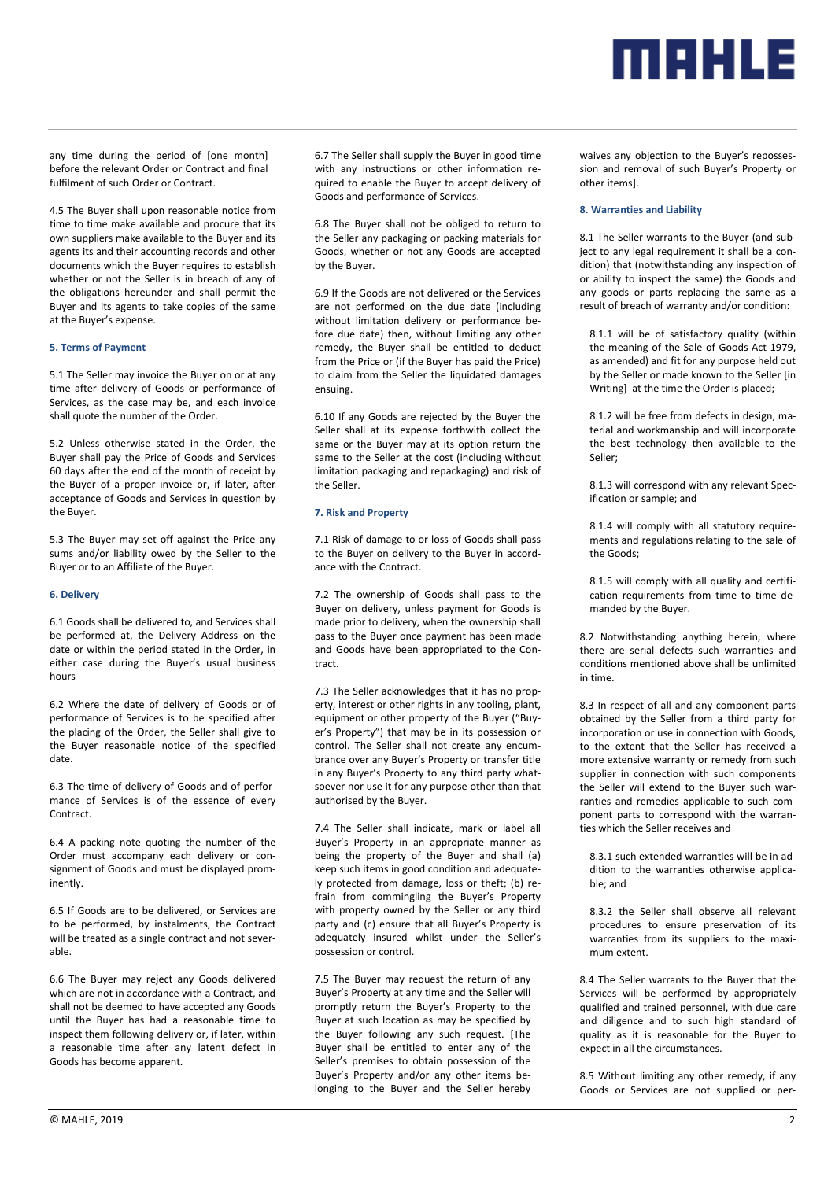

any time during the period of [one month] before the relevant Order or Contract and final fulfilment of such Order or Contract.

4.5 The Buyer shall upon reasonable notice from time to time make available and procure that its own suppliers make available to the Buyer and its agents its and their accounting records and other documents which the Buyer requires to establish whether or not the Seller is in breach of any of the obligations hereunder and shall permit the Buyer and its agents to take copies of the same at the Buyer's expense.

#### **5. Terms of Payment**

5.1 The Seller may invoice the Buyer on or at any time after delivery of Goods or performance of Services, as the case may be, and each invoice shall quote the number of the Order.

5.2 Unless otherwise stated in the Order, the Buyer shall pay the Price of Goods and Services 60 days after the end of the month of receipt by the Buyer of a proper invoice or, if later, after acceptance of Goods and Services in question by the Buyer.

5.3 The Buyer may set off against the Price any sums and/or liability owed by the Seller to the Buyer or to an Affiliate of the Buyer.

#### **6. Delivery**

6.1 Goods shall be delivered to, and Services shall be performed at, the Delivery Address on the date or within the period stated in the Order, in either case during the Buyer's usual business hours

6.2 Where the date of delivery of Goods or of performance of Services is to be specified after the placing of the Order, the Seller shall give to the Buyer reasonable notice of the specified date.

6.3 The time of delivery of Goods and of performance of Services is of the essence of every Contract.

6.4 A packing note quoting the number of the Order must accompany each delivery or consignment of Goods and must be displayed prominently.

6.5 If Goods are to be delivered, or Services are to be performed, by instalments, the Contract will be treated as a single contract and not severable.

6.6 The Buyer may reject any Goods delivered which are not in accordance with a Contract, and shall not be deemed to have accepted any Goods until the Buyer has had a reasonable time to inspect them following delivery or, if later, within a reasonable time after any latent defect in Goods has become apparent.

6.7 The Seller shall supply the Buyer in good time with any instructions or other information required to enable the Buyer to accept delivery of Goods and performance of Services.

6.8 The Buyer shall not be obliged to return to the Seller any packaging or packing materials for Goods, whether or not any Goods are accepted by the Buyer.

6.9 If the Goods are not delivered or the Services are not performed on the due date (including without limitation delivery or performance before due date) then, without limiting any other remedy, the Buyer shall be entitled to deduct from the Price or (if the Buyer has paid the Price) to claim from the Seller the liquidated damages ensuing.

6.10 If any Goods are rejected by the Buyer the Seller shall at its expense forthwith collect the same or the Buyer may at its option return the same to the Seller at the cost (including without limitation packaging and repackaging) and risk of the Seller.

# **7. Risk and Property**

7.1 Risk of damage to or loss of Goods shall pass to the Buyer on delivery to the Buyer in accordance with the Contract.

7.2 The ownership of Goods shall pass to the Buyer on delivery, unless payment for Goods is made prior to delivery, when the ownership shall pass to the Buyer once payment has been made and Goods have been appropriated to the Contract.

7.3 The Seller acknowledges that it has no property, interest or other rights in any tooling, plant, equipment or other property of the Buyer ("Buyer's Property") that may be in its possession or control. The Seller shall not create any encumbrance over any Buyer's Property or transfer title in any Buyer's Property to any third party whatsoever nor use it for any purpose other than that authorised by the Buyer.

7.4 The Seller shall indicate, mark or label all Buyer's Property in an appropriate manner as being the property of the Buyer and shall (a) keep such items in good condition and adequately protected from damage, loss or theft; (b) refrain from commingling the Buyer's Property with property owned by the Seller or any third party and (c) ensure that all Buyer's Property is adequately insured whilst under the Seller's possession or control.

7.5 The Buyer may request the return of any Buyer's Property at any time and the Seller will promptly return the Buyer's Property to the Buyer at such location as may be specified by the Buyer following any such request. [The Buyer shall be entitled to enter any of the Seller's premises to obtain possession of the Buyer's Property and/or any other items belonging to the Buyer and the Seller hereby

waives any objection to the Buyer's repossession and removal of such Buyer's Property or other items].

#### **8. Warranties and Liability**

8.1 The Seller warrants to the Buyer (and subject to any legal requirement it shall be a condition) that (notwithstanding any inspection of or ability to inspect the same) the Goods and any goods or parts replacing the same as a result of breach of warranty and/or condition:

8.1.1 will be of satisfactory quality (within the meaning of the Sale of Goods Act 1979, as amended) and fit for any purpose held out by the Seller or made known to the Seller [in Writing] at the time the Order is placed;

8.1.2 will be free from defects in design, material and workmanship and will incorporate the best technology then available to the Seller;

8.1.3 will correspond with any relevant Specification or sample; and

8.1.4 will comply with all statutory requirements and regulations relating to the sale of the Goods;

8.1.5 will comply with all quality and certification requirements from time to time demanded by the Buyer.

8.2 Notwithstanding anything herein, where there are serial defects such warranties and conditions mentioned above shall be unlimited in time.

8.3 In respect of all and any component parts obtained by the Seller from a third party for incorporation or use in connection with Goods to the extent that the Seller has received a more extensive warranty or remedy from such supplier in connection with such components the Seller will extend to the Buyer such warranties and remedies applicable to such component parts to correspond with the warranties which the Seller receives and

8.3.1 such extended warranties will be in addition to the warranties otherwise applicable; and

8.3.2 the Seller shall observe all relevant procedures to ensure preservation of its warranties from its suppliers to the maximum extent.

8.4 The Seller warrants to the Buyer that the Services will be performed by appropriately qualified and trained personnel, with due care and diligence and to such high standard of quality as it is reasonable for the Buyer to expect in all the circumstances.

8.5 Without limiting any other remedy, if any Goods or Services are not supplied or per-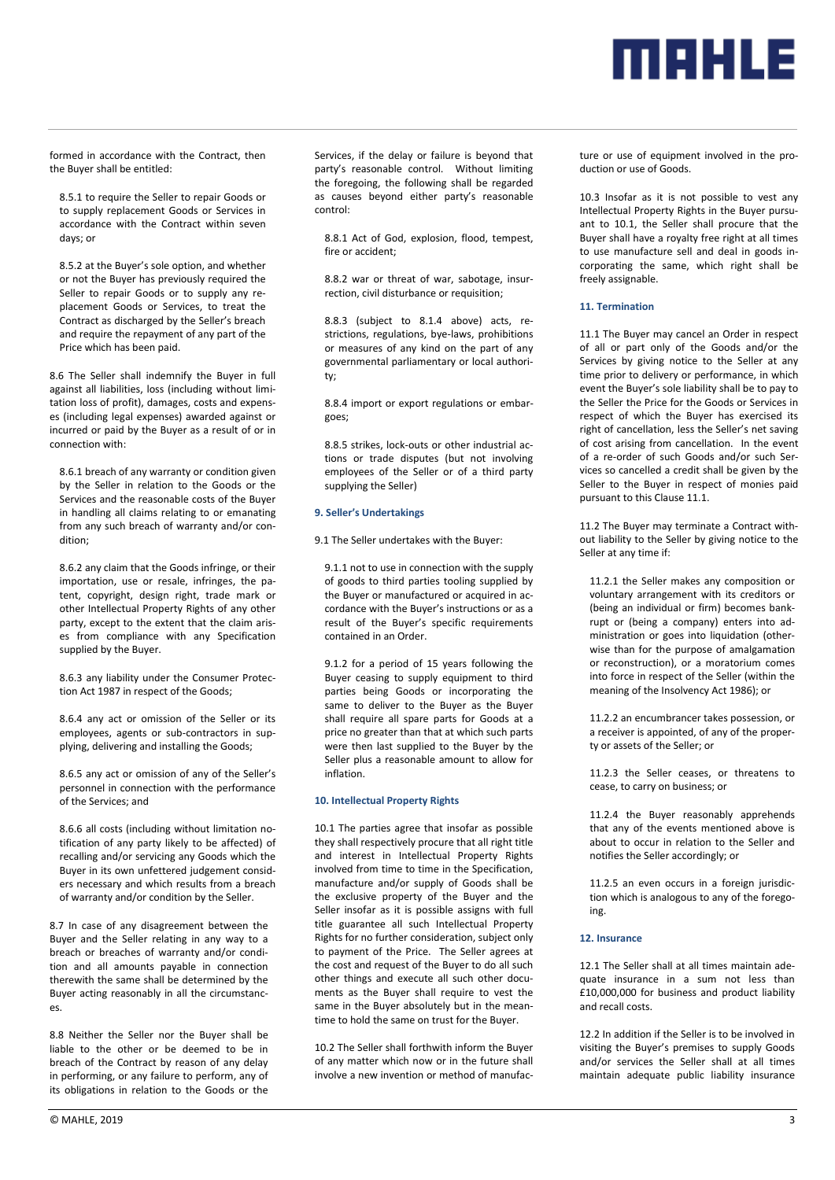

formed in accordance with the Contract, then the Buyer shall be entitled:

8.5.1 to require the Seller to repair Goods or to supply replacement Goods or Services in accordance with the Contract within seven days; or

8.5.2 at the Buyer's sole option, and whether or not the Buyer has previously required the Seller to repair Goods or to supply any replacement Goods or Services, to treat the Contract as discharged by the Seller's breach and require the repayment of any part of the Price which has been paid.

8.6 The Seller shall indemnify the Buyer in full against all liabilities, loss (including without limitation loss of profit), damages, costs and expenses (including legal expenses) awarded against or incurred or paid by the Buyer as a result of or in connection with:

8.6.1 breach of any warranty or condition given by the Seller in relation to the Goods or the Services and the reasonable costs of the Buyer in handling all claims relating to or emanating from any such breach of warranty and/or condition;

8.6.2 any claim that the Goods infringe, or their importation, use or resale, infringes, the patent, copyright, design right, trade mark or other Intellectual Property Rights of any other party, except to the extent that the claim arises from compliance with any Specification supplied by the Buyer.

8.6.3 any liability under the Consumer Protection Act 1987 in respect of the Goods;

8.6.4 any act or omission of the Seller or its employees, agents or sub-contractors in supplying, delivering and installing the Goods;

8.6.5 any act or omission of any of the Seller's personnel in connection with the performance of the Services; and

8.6.6 all costs (including without limitation notification of any party likely to be affected) of recalling and/or servicing any Goods which the Buyer in its own unfettered judgement considers necessary and which results from a breach of warranty and/or condition by the Seller.

8.7 In case of any disagreement between the Buyer and the Seller relating in any way to a breach or breaches of warranty and/or condition and all amounts payable in connection therewith the same shall be determined by the Buyer acting reasonably in all the circumstances.

8.8 Neither the Seller nor the Buyer shall be liable to the other or be deemed to be in breach of the Contract by reason of any delay in performing, or any failure to perform, any of its obligations in relation to the Goods or the Services, if the delay or failure is beyond that party's reasonable control. Without limiting the foregoing, the following shall be regarded as causes beyond either party's reasonable control:

8.8.1 Act of God, explosion, flood, tempest, fire or accident;

8.8.2 war or threat of war, sabotage, insurrection, civil disturbance or requisition;

8.8.3 (subject to 8.1.4 above) acts, restrictions, regulations, bye-laws, prohibitions or measures of any kind on the part of any governmental parliamentary or local authority;

8.8.4 import or export regulations or embargoes;

8.8.5 strikes, lock-outs or other industrial actions or trade disputes (but not involving employees of the Seller or of a third party supplying the Seller)

### **9. Seller's Undertakings**

9.1 The Seller undertakes with the Buyer:

9.1.1 not to use in connection with the supply of goods to third parties tooling supplied by the Buyer or manufactured or acquired in accordance with the Buyer's instructions or as a result of the Buyer's specific requirements contained in an Order.

9.1.2 for a period of 15 years following the Buyer ceasing to supply equipment to third parties being Goods or incorporating the same to deliver to the Buyer as the Buyer shall require all spare parts for Goods at a price no greater than that at which such parts were then last supplied to the Buyer by the Seller plus a reasonable amount to allow for inflation.

#### **10. Intellectual Property Rights**

10.1 The parties agree that insofar as possible they shall respectively procure that all right title and interest in Intellectual Property Rights involved from time to time in the Specification, manufacture and/or supply of Goods shall be the exclusive property of the Buyer and the Seller insofar as it is possible assigns with full title guarantee all such Intellectual Property Rights for no further consideration, subject only to payment of the Price. The Seller agrees at the cost and request of the Buyer to do all such other things and execute all such other documents as the Buyer shall require to vest the same in the Buyer absolutely but in the meantime to hold the same on trust for the Buyer.

10.2 The Seller shall forthwith inform the Buyer of any matter which now or in the future shall involve a new invention or method of manufacture or use of equipment involved in the production or use of Goods.

10.3 Insofar as it is not possible to vest any Intellectual Property Rights in the Buyer pursuant to 10.1, the Seller shall procure that the Buyer shall have a royalty free right at all times to use manufacture sell and deal in goods incorporating the same, which right shall be freely assignable.

#### **11. Termination**

11.1 The Buyer may cancel an Order in respect of all or part only of the Goods and/or the Services by giving notice to the Seller at any time prior to delivery or performance, in which event the Buyer's sole liability shall be to pay to the Seller the Price for the Goods or Services in respect of which the Buyer has exercised its right of cancellation, less the Seller's net saving of cost arising from cancellation. In the event of a re-order of such Goods and/or such Services so cancelled a credit shall be given by the Seller to the Buyer in respect of monies paid pursuant to this Clause 11.1.

11.2 The Buyer may terminate a Contract without liability to the Seller by giving notice to the Seller at any time if:

11.2.1 the Seller makes any composition or voluntary arrangement with its creditors or (being an individual or firm) becomes bankrupt or (being a company) enters into administration or goes into liquidation (otherwise than for the purpose of amalgamation or reconstruction), or a moratorium comes into force in respect of the Seller (within the meaning of the Insolvency Act 1986); or

11.2.2 an encumbrancer takes possession, or a receiver is appointed, of any of the property or assets of the Seller; or

11.2.3 the Seller ceases, or threatens to cease, to carry on business; or

11.2.4 the Buyer reasonably apprehends that any of the events mentioned above is about to occur in relation to the Seller and notifies the Seller accordingly; or

11.2.5 an even occurs in a foreign jurisdiction which is analogous to any of the foregoing.

#### **12. Insurance**

12.1 The Seller shall at all times maintain adequate insurance in a sum not less than £10,000,000 for business and product liability and recall costs.

12.2 In addition if the Seller is to be involved in visiting the Buyer's premises to supply Goods and/or services the Seller shall at all times maintain adequate public liability insurance